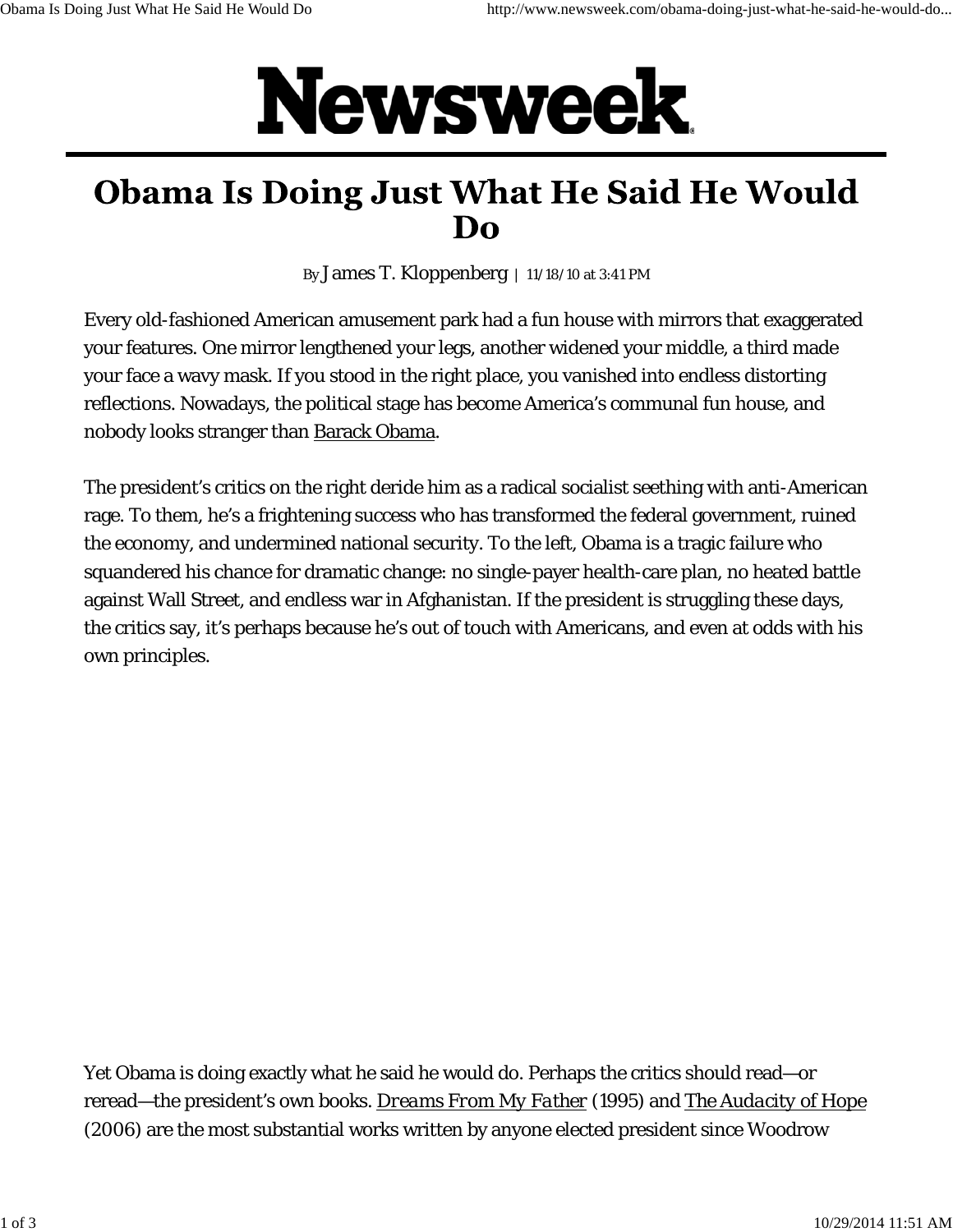## Newsweek.

## **Obama Is Doing Just What He Said He Would Do**

By James T. Kloppenberg | 11/18/10 at 3:41 PM

Every old-fashioned American amusement park had a fun house with mirrors that exaggerated your features. One mirror lengthened your legs, another widened your middle, a third made your face a wavy mask. If you stood in the right place, you vanished into endless distorting reflections. Nowadays, the political stage has become America's communal fun house, and nobody looks stranger than Barack Obama.

The president's critics on the right deride him as a radical socialist seething with anti-American rage. To them, he's a frightening success who has transformed the federal government, ruined the economy, and undermined national security. To the left, Obama is a tragic failure who squandered his chance for dramatic change: no single-payer health-care plan, no heated battle against Wall Street, and endless war in Afghanistan. If the president is struggling these days, the critics say, it's perhaps because he's out of touch with Americans, and even at odds with his own principles.

Yet Obama is doing exactly what he said he would do. Perhaps the critics should read—or reread—the president's own books. *Dreams From My Father* (1995) and *The Audacity of Hope* (2006) are the most substantial works written by anyone elected president since Woodrow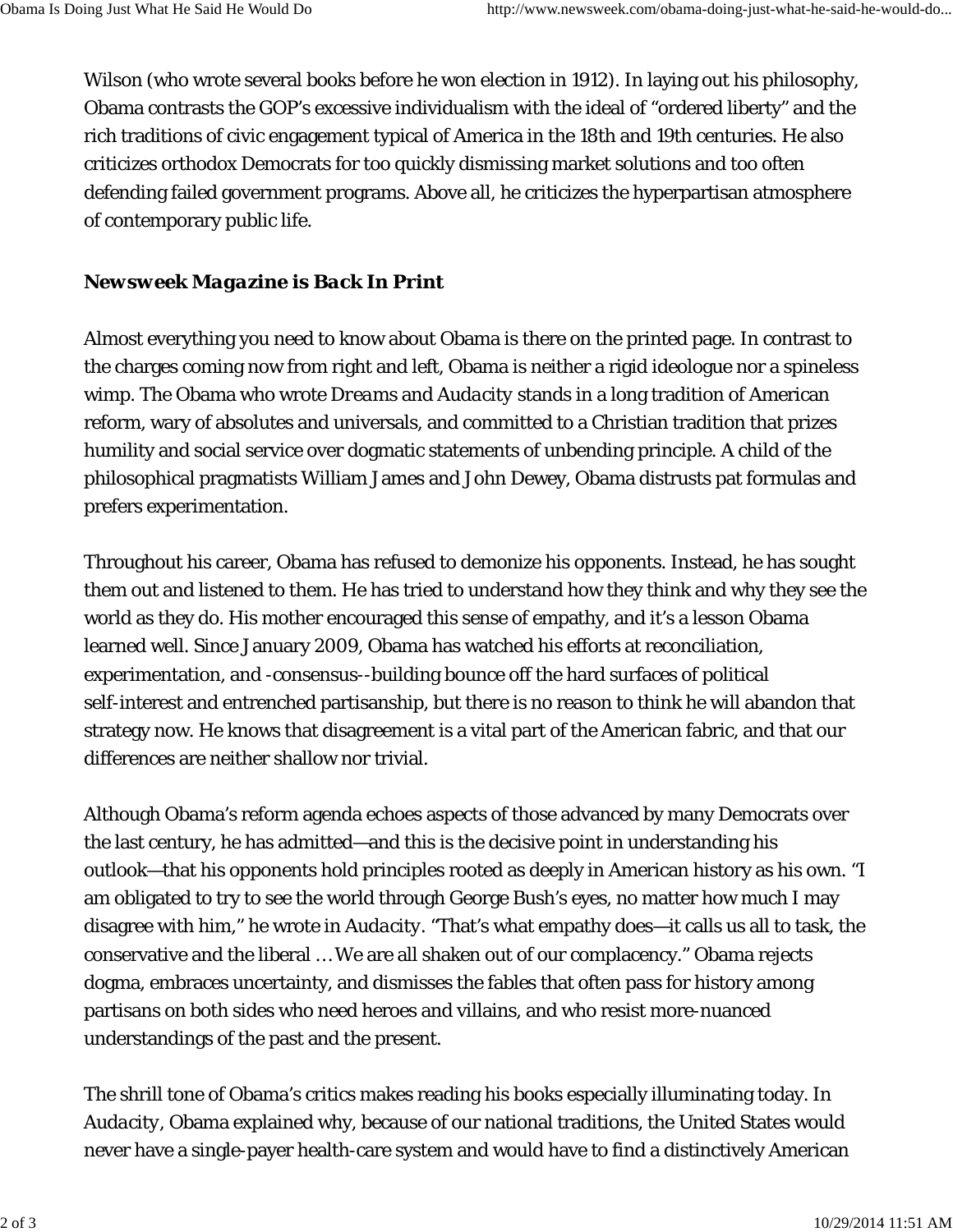Wilson (who wrote several books before he won election in 1912). In laying out his philosophy, Obama contrasts the GOP's excessive individualism with the ideal of "ordered liberty" and the rich traditions of civic engagement typical of America in the 18th and 19th centuries. He also criticizes orthodox Democrats for too quickly dismissing market solutions and too often defending failed government programs. Above all, he criticizes the hyperpartisan atmosphere of contemporary public life.

## *Newsweek Magazine is Back In Print*

Almost everything you need to know about Obama is there on the printed page. In contrast to the charges coming now from right and left, Obama is neither a rigid ideologue nor a spineless wimp. The Obama who wrote *Dreams* and *Audacity* stands in a long tradition of American reform, wary of absolutes and universals, and committed to a Christian tradition that prizes humility and social service over dogmatic statements of unbending principle. A child of the philosophical pragmatists William James and John Dewey, Obama distrusts pat formulas and prefers experimentation.

Throughout his career, Obama has refused to demonize his opponents. Instead, he has sought them out and listened to them. He has tried to understand how they think and why they see the world as they do. His mother encouraged this sense of empathy, and it's a lesson Obama learned well. Since January 2009, Obama has watched his efforts at reconciliation, experimentation, and -consensus--building bounce off the hard surfaces of political self-interest and entrenched partisanship, but there is no reason to think he will abandon that strategy now. He knows that disagreement is a vital part of the American fabric, and that our differences are neither shallow nor trivial.

Although Obama's reform agenda echoes aspects of those advanced by many Democrats over the last century, he has admitted—and this is the decisive point in understanding his outlook—that his opponents hold principles rooted as deeply in American history as his own. "I am obligated to try to see the world through George Bush's eyes, no matter how much I may disagree with him," he wrote in *Audacity*. "That's what empathy does—it calls us all to task, the conservative and the liberal … We are all shaken out of our complacency." Obama rejects dogma, embraces uncertainty, and dismisses the fables that often pass for history among partisans on both sides who need heroes and villains, and who resist more-nuanced understandings of the past and the present.

The shrill tone of Obama's critics makes reading his books especially illuminating today. In *Audacity*, Obama explained why, because of our national traditions, the United States would never have a single-payer health-care system and would have to find a distinctively American